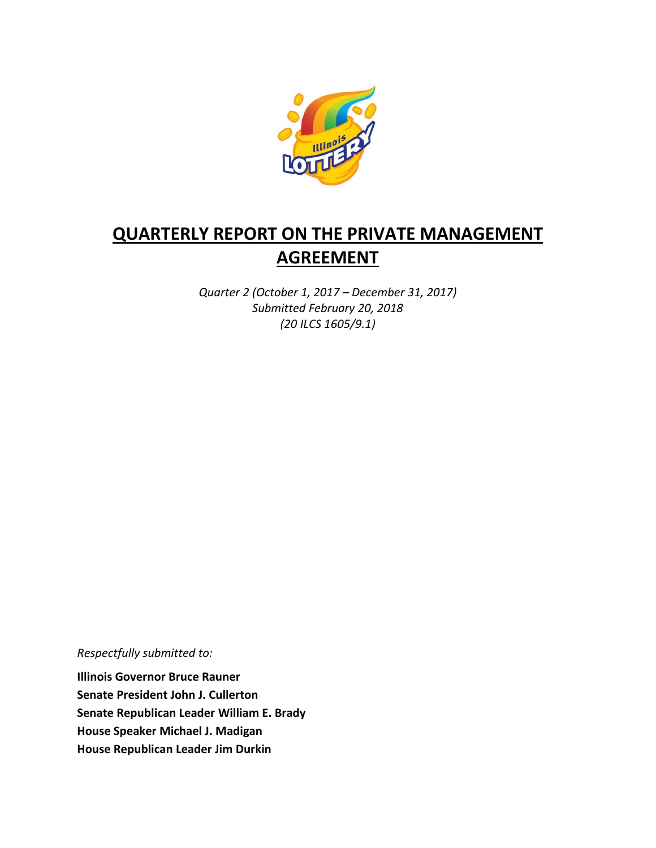

# **QUARTERLY REPORT ON THE PRIVATE MANAGEMENT AGREEMENT**

*Quarter 2 (October 1, 2017 – December 31, 2017) Submitted February 20, 2018 (20 ILCS 1605/9.1)*

*Respectfully submitted to:* 

**Illinois Governor Bruce Rauner Senate President John J. Cullerton Senate Republican Leader William E. Brady House Speaker Michael J. Madigan House Republican Leader Jim Durkin**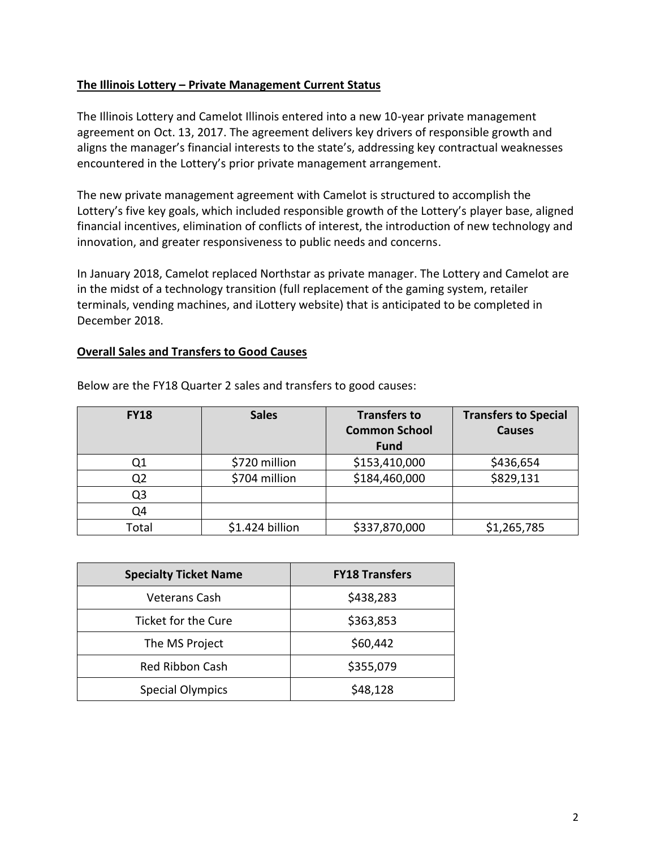### **The Illinois Lottery – Private Management Current Status**

The Illinois Lottery and Camelot Illinois entered into a new 10-year private management agreement on Oct. 13, 2017. The agreement delivers key drivers of responsible growth and aligns the manager's financial interests to the state's, addressing key contractual weaknesses encountered in the Lottery's prior private management arrangement.

The new private management agreement with Camelot is structured to accomplish the Lottery's five key goals, which included responsible growth of the Lottery's player base, aligned financial incentives, elimination of conflicts of interest, the introduction of new technology and innovation, and greater responsiveness to public needs and concerns.

In January 2018, Camelot replaced Northstar as private manager. The Lottery and Camelot are in the midst of a technology transition (full replacement of the gaming system, retailer terminals, vending machines, and iLottery website) that is anticipated to be completed in December 2018.

#### **Overall Sales and Transfers to Good Causes**

| <b>FY18</b> | <b>Sales</b>    | <b>Transfers to</b><br><b>Common School</b><br><b>Fund</b> | <b>Transfers to Special</b><br><b>Causes</b> |
|-------------|-----------------|------------------------------------------------------------|----------------------------------------------|
| Q1          | \$720 million   | \$153,410,000                                              | \$436,654                                    |
| Q2          | \$704 million   | \$184,460,000                                              | \$829,131                                    |
| Q3          |                 |                                                            |                                              |
| Q4          |                 |                                                            |                                              |
| Total       | \$1.424 billion | \$337,870,000                                              | \$1,265,785                                  |

Below are the FY18 Quarter 2 sales and transfers to good causes:

| <b>Specialty Ticket Name</b> | <b>FY18 Transfers</b> |
|------------------------------|-----------------------|
| <b>Veterans Cash</b>         | \$438,283             |
| Ticket for the Cure          | \$363,853             |
| The MS Project               | \$60,442              |
| <b>Red Ribbon Cash</b>       | \$355,079             |
| <b>Special Olympics</b>      | \$48,128              |